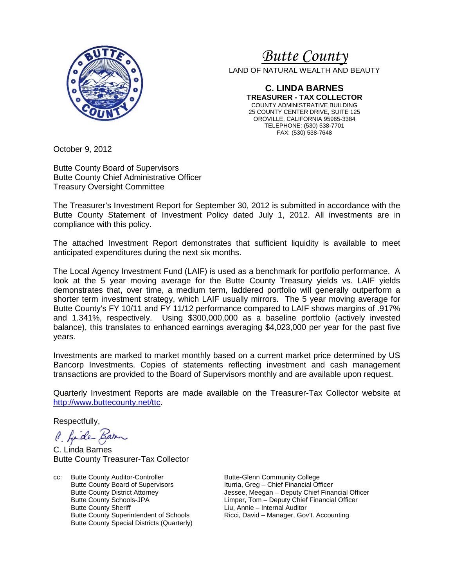

# *<sup>U</sup>Butte County*

LAND OF NATURAL WEALTH AND BEAUTY

**C. LINDA BARNES TREASURER - TAX COLLECTOR** COUNTY ADMINISTRATIVE BUILDING 25 COUNTY CENTER DRIVE, SUITE 125 OROVILLE, CALIFORNIA 95965-3384 TELEPHONE: (530) 538-7701 FAX: (530) 538-7648

October 9, 2012

Butte County Board of Supervisors Butte County Chief Administrative Officer Treasury Oversight Committee

The Treasurer's Investment Report for September 30, 2012 is submitted in accordance with the Butte County Statement of Investment Policy dated July 1, 2012. All investments are in compliance with this policy.

The attached Investment Report demonstrates that sufficient liquidity is available to meet anticipated expenditures during the next six months.

The Local Agency Investment Fund (LAIF) is used as a benchmark for portfolio performance. A look at the 5 year moving average for the Butte County Treasury yields vs. LAIF yields demonstrates that, over time, a medium term, laddered portfolio will generally outperform a shorter term investment strategy, which LAIF usually mirrors. The 5 year moving average for Butte County's FY 10/11 and FY 11/12 performance compared to LAIF shows margins of .917% and 1.341%, respectively. Using \$300,000,000 as a baseline portfolio (actively invested balance), this translates to enhanced earnings averaging \$4,023,000 per year for the past five years.

Investments are marked to market monthly based on a current market price determined by US Bancorp Investments. Copies of statements reflecting investment and cash management transactions are provided to the Board of Supervisors monthly and are available upon request.

Quarterly Investment Reports are made available on the Treasurer-Tax Collector website at [http://www.buttecounty.net/ttc.](http://www.buttecounty.net/ttc)

Respectfully,

C. fide Barn

C. Linda Barnes Butte County Treasurer-Tax Collector

cc: Butte County Auditor-Controller Butte-Glenn Community College<br>Butte County Board of Supervisors butteria, Greg - Chief Financial Off Butte County Board of Supervisors<br>
Butte County District Attorney<br>
Jessee, Meegan – Deputy Chief Fina Butte County Sheriff **Liu, Annie – Internal Auditor**<br>Butte County Superintendent of Schools **Connect County State County State** Bow Butte County Special Districts (Quarterly)

Jessee, Meegan – Deputy Chief Financial Officer Butte County Schools-JPA Limper, Tom – Deputy Chief Financial Officer Ricci, David – Manager, Gov't. Accounting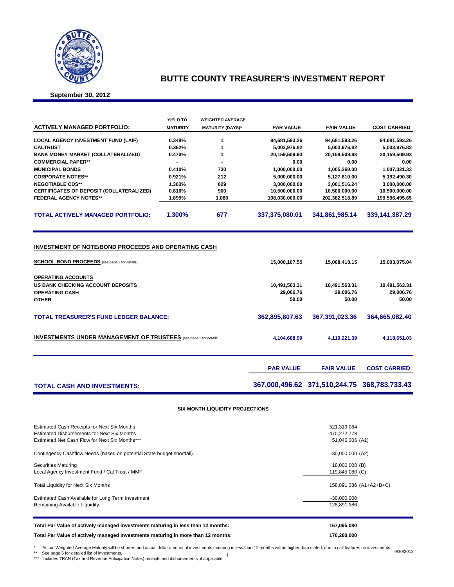

### **BUTTE COUNTY TREASURER'S INVESTMENT REPORT**

**September 30, 2012**

|                                                                                                                    | YIELD TO        | <b>WEIGHTED AVERAGE</b> |                                     |                                     |                                     |
|--------------------------------------------------------------------------------------------------------------------|-----------------|-------------------------|-------------------------------------|-------------------------------------|-------------------------------------|
| <b>ACTIVELY MANAGED PORTFOLIO:</b>                                                                                 | <b>MATURITY</b> | <b>MATURITY (DAYS)*</b> | <b>PAR VALUE</b>                    | <b>FAIR VALUE</b>                   | <b>COST CARRIED</b>                 |
| <b>LOCAL AGENCY INVESTMENT FUND (LAIF)</b>                                                                         | 0.348%          | 1                       | 94,681,593.26                       | 94,681,593.26                       | 94,681,593.26                       |
| <b>CALTRUST</b>                                                                                                    | 0.362%          | 1                       | 5,003,976.82                        | 5,003,976.82                        | 5,003,976.82                        |
| <b>BANK MONEY MARKET (COLLATERALIZED)</b>                                                                          | 0.470%          | 1                       | 20,159,509.93                       | 20,159,509.93                       | 20,159,509.93                       |
| <b>COMMERCIAL PAPER**</b>                                                                                          |                 |                         | 0.00                                | 0.00                                | 0.00                                |
| <b>MUNICIPAL BONDS</b>                                                                                             | 0.410%          | 730                     | 1,000,000.00                        | 1,005,260.00                        | 1,007,321.33                        |
| <b>CORPORATE NOTES**</b>                                                                                           | 0.921%          | 212                     | 5,000,000.00                        | 5,127,610.00                        | 5,192,490.30                        |
| <b>NEGOTIABLE CDS**</b>                                                                                            | 1.363%          | 829                     | 3,000,000.00                        | 3,001,516.24                        | 3,000,000.00                        |
| CERTIFICATES OF DEPOSIT (COLLATERALIZED)                                                                           | 0.810%          | 900                     | 10,500,000.00                       | 10,500,000.00                       | 10,500,000.00                       |
| <b>FEDERAL AGENCY NOTES**</b>                                                                                      | 1.899%          | 1,080                   | 198,030,000.00                      | 202,382,518.89                      | 199,596,495.65                      |
| <b>TOTAL ACTIVELY MANAGED PORTFOLIO:</b>                                                                           | 1.300%          | 677                     | 337,375,080.01                      | 341,861,985.14                      | 339,141,387.29                      |
| <b>INVESTMENT OF NOTE/BOND PROCEEDS AND OPERATING CASH</b><br><b>SCHOOL BOND PROCEEDS</b> (see page 2 for details) |                 |                         | 15,000,107.55                       | 15,008,418.15                       | 15,003,075.04                       |
| <b>OPERATING ACCOUNTS</b>                                                                                          |                 |                         |                                     |                                     |                                     |
| <b>US BANK CHECKING ACCOUNT DEPOSITS</b><br><b>OPERATING CASH</b><br><b>OTHER</b>                                  |                 |                         | 10,491,563.31<br>29,006.76<br>50.00 | 10,491,563.31<br>29,006.76<br>50.00 | 10,491,563.31<br>29,006.76<br>50.00 |
| <b>TOTAL TREASURER'S FUND LEDGER BALANCE:</b>                                                                      |                 | 362,895,807.63          | 367,391,023.36                      | 364,665,082.40                      |                                     |
| <b>INVESTMENTS UNDER MANAGEMENT OF TRUSTEES</b> (see page 3 for details)                                           | 4,104,688.99    | 4,119,221.39            | 4,118,651.03                        |                                     |                                     |
|                                                                                                                    |                 |                         | <b>PAR VALUE</b>                    | <b>FAIR VALUE</b>                   | <b>COST CARRIED</b>                 |

### **TOTAL CASH AND INVESTMENTS: 367,000,496.62 371,510,244.75 368,783,733.43**

**SIX MONTH LIQUIDITY PROJECTIONS**

| Estimated Cash Receipts for Next Six Months                                      | 521,319,084             |
|----------------------------------------------------------------------------------|-------------------------|
| <b>Estimated Disbursements for Next Six Months</b>                               | -470,272,778            |
| Estimated Net Cash Flow for Next Six Months***                                   | 51,046,306 (A1)         |
| Contingency Cashflow Needs (based on potential State budget shortfall)           | $-30,000,000$ (A2)      |
| <b>Securities Maturing</b>                                                       | 18,000,000 (B)          |
| Local Agency Investment Fund / Cal Trust / MMF                                   | 119,845,080 (C)         |
| <b>Total Liquidity for Next Six Months</b>                                       | 158,891,386 (A1+A2+B+C) |
| Estimated Cash Available for Long Term Investment                                | $-30,000,000$           |
| Remaining Available Liquidity                                                    | 128,891,386             |
| Total Par Value of actively managed investments maturing in less than 12 months: | 167,095,080             |
| Total Par Value of actively managed investments maturing in more than 12 months: | 170,280,000             |

\* Actual Weighted Average Maturity will be shorter, and actual dollar amount of investments maturing in less than 12 months will be higher than stated, due to call features on investments. 9/30/2012<br>\*\*\* See Page 5 for deta

\*\* See page 5 for detailed list of investments. \*\*\* Includes TRAN (Tax and Revenue Anticipation Notes) receipts and disbursements, if applicable.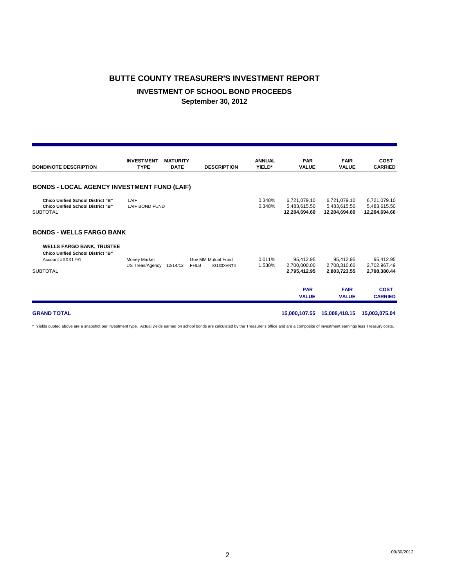# **BUTTE COUNTY TREASURER'S INVESTMENT REPORT INVESTMENT OF SCHOOL BOND PROCEEDS September 30, 2012**

| <b>BOND/NOTE DESCRIPTION</b>                                                                                                                           | <b>INVESTMENT</b><br><b>TYPE</b> | <b>MATURITY</b><br><b>DATE</b> | <b>DESCRIPTION</b>                              | <b>ANNUAL</b><br>YIELD* | <b>PAR</b><br><b>VALUE</b>                              | <b>FAIR</b><br><b>VALUE</b>                              | <b>COST</b><br><b>CARRIED</b>                            |
|--------------------------------------------------------------------------------------------------------------------------------------------------------|----------------------------------|--------------------------------|-------------------------------------------------|-------------------------|---------------------------------------------------------|----------------------------------------------------------|----------------------------------------------------------|
| <b>BONDS - LOCAL AGENCY INVESTMENT FUND (LAIF)</b>                                                                                                     |                                  |                                |                                                 |                         |                                                         |                                                          |                                                          |
| <b>Chico Unified School District "B"</b><br><b>Chico Unified School District "B"</b><br><b>SUBTOTAL</b>                                                | LAIF<br><b>LAIF BOND FUND</b>    |                                |                                                 | 0.348%<br>0.348%        | 6,721,079.10<br>5,483,615.50<br>12,204,694.60           | 6,721,079.10<br>5,483,615.50<br>12,204,694.60            | 6,721,079.10<br>5,483,615.50<br>12,204,694.60            |
| <b>BONDS - WELLS FARGO BANK</b><br><b>WELLS FARGO BANK, TRUSTEE</b><br><b>Chico Unified School District "B"</b><br>Account #XXX1791<br><b>SUBTOTAL</b> | Money Market<br>US Treas/Agency  | 12/14/12                       | Gov MM Mutual Fund<br><b>FHLB</b><br>#3133XVNT4 | 0.011%<br>1.530%        | 95,412.95<br>2,700,000.00<br>2,795,412.95<br><b>PAR</b> | 95,412.95<br>2.708.310.60<br>2,803,723.55<br><b>FAIR</b> | 95,412.95<br>2,702,967.49<br>2,798,380.44<br><b>COST</b> |
| <b>GRAND TOTAL</b>                                                                                                                                     |                                  |                                |                                                 |                         | <b>VALUE</b><br>15,000,107.55                           | <b>VALUE</b><br>15,008,418.15                            | <b>CARRIED</b><br>15,003,075.04                          |

\* Yields quoted above are a snapshot per investment type. Actual yields earned on school bonds are calculated by the Treasurer's office and are a composite of investment earnings less Treasury costs.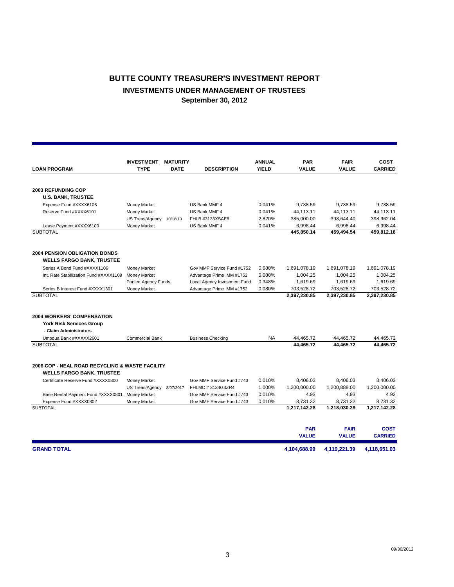### **BUTTE COUNTY TREASURER'S INVESTMENT REPORT INVESTMENTS UNDER MANAGEMENT OF TRUSTEES September 30, 2012**

|                                                                          | <b>INVESTMENT</b><br><b>MATURITY</b><br><b>TYPE</b><br><b>LOAN PROGRAM</b><br><b>DATE</b> |           | <b>DESCRIPTION</b>           | <b>ANNUAL</b><br><b>YIELD</b> | <b>PAR</b><br><b>VALUE</b> | <b>FAIR</b><br>VALUE | <b>COST</b><br><b>CARRIED</b> |
|--------------------------------------------------------------------------|-------------------------------------------------------------------------------------------|-----------|------------------------------|-------------------------------|----------------------------|----------------------|-------------------------------|
|                                                                          |                                                                                           |           |                              |                               |                            |                      |                               |
| <b>2003 REFUNDING COP</b>                                                |                                                                                           |           |                              |                               |                            |                      |                               |
| <b>U.S. BANK, TRUSTEE</b>                                                |                                                                                           |           |                              |                               |                            |                      |                               |
| Expense Fund #XXXX6106                                                   | Money Market                                                                              |           | US Bank MMF 4                | 0.041%                        | 9,738.59                   | 9,738.59             | 9,738.59                      |
| Reserve Fund #XXXX6101                                                   | <b>Money Market</b>                                                                       |           | US Bank MMF 4                | 0.041%                        | 44,113.11                  | 44,113.11            | 44,113.11                     |
|                                                                          | US Treas/Agency                                                                           | 10/18/13  | FHLB #3133XSAE8              | 2.820%                        | 385,000.00                 | 398.644.40           | 398,962.04                    |
| Lease Payment #XXXX6100                                                  | Money Market                                                                              |           | US Bank MMF 4                | 0.041%                        | 6,998.44                   | 6,998.44             | 6,998.44                      |
| <b>SUBTOTAL</b>                                                          |                                                                                           |           |                              |                               | 445,850.14                 | 459,494.54           | 459,812.18                    |
| <b>2004 PENSION OBLIGATION BONDS</b><br><b>WELLS FARGO BANK, TRUSTEE</b> |                                                                                           |           |                              |                               |                            |                      |                               |
| Series A Bond Fund #XXXX1106                                             | Money Market                                                                              |           | Gov MMF Service Fund #1752   | 0.080%                        | 1,691,078.19               | 1,691,078.19         | 1,691,078.19                  |
| Int. Rate Stabilization Fund #XXXX1109                                   | <b>Money Market</b>                                                                       |           | Advantage Prime MM #1752     | 0.080%                        | 1,004.25                   | 1,004.25             | 1,004.25                      |
|                                                                          | Pooled Agency Funds                                                                       |           | Local Agency Investment Fund | 0.348%                        | 1,619.69                   | 1,619.69             | 1,619.69                      |
| Series B Interest Fund #XXXX1301                                         | Money Market                                                                              |           | Advantage Prime MM #1752     | 0.080%                        | 703,528.72                 | 703,528.72           | 703,528.72                    |
| <b>SUBTOTAL</b>                                                          |                                                                                           |           |                              |                               | 2,397,230.85               | 2,397,230.85         | 2,397,230.85                  |
| <b>2004 WORKERS' COMPENSATION</b>                                        |                                                                                           |           |                              |                               |                            |                      |                               |
| <b>York Risk Services Group</b>                                          |                                                                                           |           |                              |                               |                            |                      |                               |
| - Claim Administrators                                                   |                                                                                           |           |                              |                               |                            |                      |                               |
| Umpqua Bank #XXXXX2601                                                   | <b>Commercial Bank</b>                                                                    |           | <b>Business Checking</b>     | <b>NA</b>                     | 44,465.72                  | 44,465.72            | 44,465.72                     |
| <b>SUBTOTAL</b>                                                          |                                                                                           |           |                              |                               | 44.465.72                  | 44.465.72            | 44.465.72                     |
| 2006 COP - NEAL ROAD RECYCLING & WASTE FACILITY                          |                                                                                           |           |                              |                               |                            |                      |                               |
| <b>WELLS FARGO BANK, TRUSTEE</b>                                         |                                                                                           |           |                              |                               |                            |                      |                               |
| Certificate Reserve Fund #XXXX0800                                       | Money Market                                                                              |           | Gov MMF Service Fund #743    | 0.010%                        | 8,406.03                   | 8,406.03             | 8,406.03                      |
|                                                                          | US Treas/Agency                                                                           | 8/07/2017 | FHLMC # 3134G3ZR4            | 1.000%                        | 1,200,000.00               | 1,200,888.00         | 1,200,000.00                  |
| Base Rental Payment Fund #XXXX0801                                       | <b>Money Market</b>                                                                       |           | Gov MMF Service Fund #743    | 0.010%                        | 4.93                       | 4.93                 | 4.93                          |
| Expense Fund #XXXX0802                                                   | Money Market                                                                              |           | Gov MMF Service Fund #743    | 0.010%                        | 8,731.32                   | 8,731.32             | 8,731.32                      |
| <b>SUBTOTAL</b>                                                          |                                                                                           |           |                              |                               | 1,217,142.28               | 1,218,030.28         | 1,217,142.28                  |
|                                                                          |                                                                                           |           |                              |                               | <b>PAR</b>                 | <b>FAIR</b>          | <b>COST</b>                   |
|                                                                          |                                                                                           |           |                              |                               | <b>VALUE</b>               | <b>VALUE</b>         | <b>CARRIED</b>                |
| <b>GRAND TOTAL</b>                                                       |                                                                                           |           |                              |                               | 4.104.688.99               | 4.119.221.39         | 4,118,651.03                  |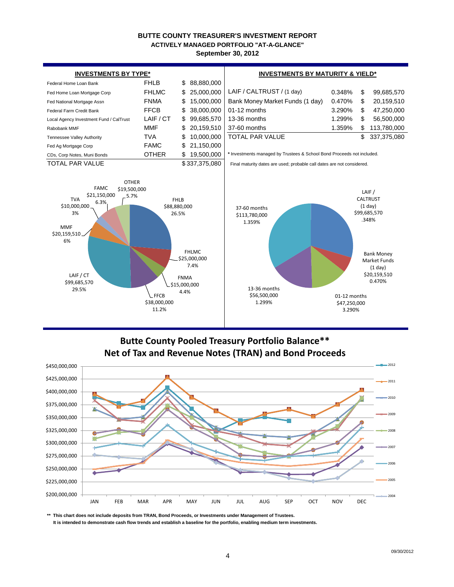# **BUTTE COUNTY TREASURER'S INVESTMENT REPORT ACTIVELY MANAGED PORTFOLIO "AT-A-GLANCE"**

**September 30, 2012**



# **Butte County Pooled Treasury Portfolio Balance\*\* Net of Tax and Revenue Notes (TRAN) and Bond Proceeds**



**\*\* This chart does not include deposits from TRAN, Bond Proceeds, or Investments under Management of Trustees. It is intended to demonstrate cash flow trends and establish a baseline for the portfolio, enabling medium term investments.**